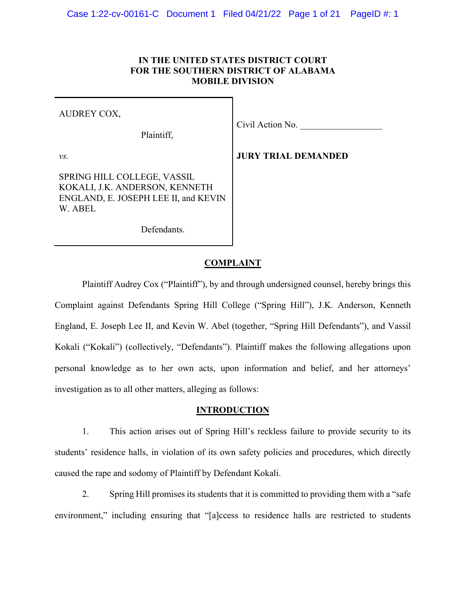# **IN THE UNITED STATES DISTRICT COURT FOR THE SOUTHERN DISTRICT OF ALABAMA MOBILE DIVISION**

| AUDREY COX, |
|-------------|
|-------------|

Plaintiff,

Civil Action No.

*vs.*

**JURY TRIAL DEMANDED**

SPRING HILL COLLEGE, VASSIL KOKALI, J.K. ANDERSON, KENNETH ENGLAND, E. JOSEPH LEE II, and KEVIN W. ABEL

Defendants.

## **COMPLAINT**

Plaintiff Audrey Cox ("Plaintiff"), by and through undersigned counsel, hereby brings this Complaint against Defendants Spring Hill College ("Spring Hill"), J.K. Anderson, Kenneth England, E. Joseph Lee II, and Kevin W. Abel (together, "Spring Hill Defendants"), and Vassil Kokali ("Kokali") (collectively, "Defendants"). Plaintiff makes the following allegations upon personal knowledge as to her own acts, upon information and belief, and her attorneys' investigation as to all other matters, alleging as follows:

## **INTRODUCTION**

1. This action arises out of Spring Hill's reckless failure to provide security to its students' residence halls, in violation of its own safety policies and procedures, which directly caused the rape and sodomy of Plaintiff by Defendant Kokali.

2. Spring Hill promises its students that it is committed to providing them with a "safe environment," including ensuring that "[a]ccess to residence halls are restricted to students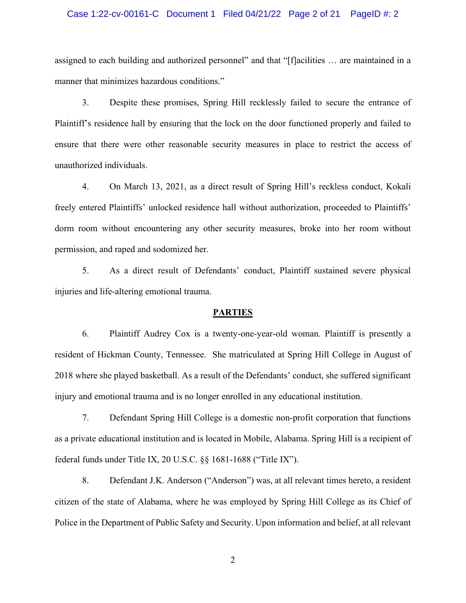#### Case 1:22-cv-00161-C Document 1 Filed 04/21/22 Page 2 of 21 PageID #: 2

assigned to each building and authorized personnel" and that "[f]acilities … are maintained in a manner that minimizes hazardous conditions."

3. Despite these promises, Spring Hill recklessly failed to secure the entrance of Plaintiff's residence hall by ensuring that the lock on the door functioned properly and failed to ensure that there were other reasonable security measures in place to restrict the access of unauthorized individuals.

4. On March 13, 2021, as a direct result of Spring Hill's reckless conduct, Kokali freely entered Plaintiffs' unlocked residence hall without authorization, proceeded to Plaintiffs' dorm room without encountering any other security measures, broke into her room without permission, and raped and sodomized her.

5. As a direct result of Defendants' conduct, Plaintiff sustained severe physical injuries and life-altering emotional trauma.

#### **PARTIES**

6. Plaintiff Audrey Cox is a twenty-one-year-old woman. Plaintiff is presently a resident of Hickman County, Tennessee. She matriculated at Spring Hill College in August of 2018 where she played basketball. As a result of the Defendants' conduct, she suffered significant injury and emotional trauma and is no longer enrolled in any educational institution.

7. Defendant Spring Hill College is a domestic non-profit corporation that functions as a private educational institution and is located in Mobile, Alabama. Spring Hill is a recipient of federal funds under Title IX, 20 U.S.C. §§ 1681-1688 ("Title IX").

8. Defendant J.K. Anderson ("Anderson") was, at all relevant times hereto, a resident citizen of the state of Alabama, where he was employed by Spring Hill College as its Chief of Police in the Department of Public Safety and Security. Upon information and belief, at all relevant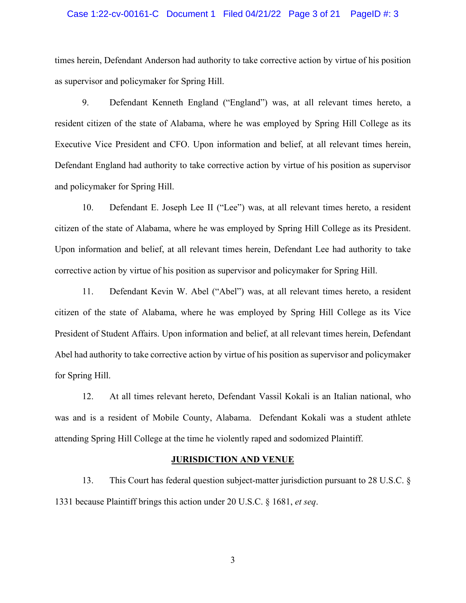#### Case 1:22-cv-00161-C Document 1 Filed 04/21/22 Page 3 of 21 PageID #: 3

times herein, Defendant Anderson had authority to take corrective action by virtue of his position as supervisor and policymaker for Spring Hill.

9. Defendant Kenneth England ("England") was, at all relevant times hereto, a resident citizen of the state of Alabama, where he was employed by Spring Hill College as its Executive Vice President and CFO. Upon information and belief, at all relevant times herein, Defendant England had authority to take corrective action by virtue of his position as supervisor and policymaker for Spring Hill.

10. Defendant E. Joseph Lee II ("Lee") was, at all relevant times hereto, a resident citizen of the state of Alabama, where he was employed by Spring Hill College as its President. Upon information and belief, at all relevant times herein, Defendant Lee had authority to take corrective action by virtue of his position as supervisor and policymaker for Spring Hill.

11. Defendant Kevin W. Abel ("Abel") was, at all relevant times hereto, a resident citizen of the state of Alabama, where he was employed by Spring Hill College as its Vice President of Student Affairs. Upon information and belief, at all relevant times herein, Defendant Abel had authority to take corrective action by virtue of his position as supervisor and policymaker for Spring Hill.

12. At all times relevant hereto, Defendant Vassil Kokali is an Italian national, who was and is a resident of Mobile County, Alabama. Defendant Kokali was a student athlete attending Spring Hill College at the time he violently raped and sodomized Plaintiff.

#### **JURISDICTION AND VENUE**

13. This Court has federal question subject-matter jurisdiction pursuant to 28 U.S.C. § 1331 because Plaintiff brings this action under 20 U.S.C. § 1681, *et seq*.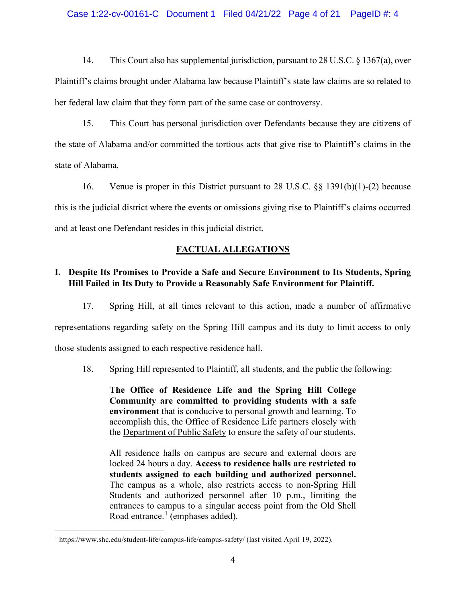### Case 1:22-cv-00161-C Document 1 Filed 04/21/22 Page 4 of 21 PageID #: 4

14. This Court also has supplemental jurisdiction, pursuant to 28 U.S.C. § 1367(a), over Plaintiff's claims brought under Alabama law because Plaintiff's state law claims are so related to her federal law claim that they form part of the same case or controversy.

15. This Court has personal jurisdiction over Defendants because they are citizens of the state of Alabama and/or committed the tortious acts that give rise to Plaintiff's claims in the state of Alabama.

16. Venue is proper in this District pursuant to 28 U.S.C. §§ 1391(b)(1)-(2) because this is the judicial district where the events or omissions giving rise to Plaintiff's claims occurred and at least one Defendant resides in this judicial district.

## **FACTUAL ALLEGATIONS**

# **I. Despite Its Promises to Provide a Safe and Secure Environment to Its Students, Spring Hill Failed in Its Duty to Provide a Reasonably Safe Environment for Plaintiff.**

17. Spring Hill, at all times relevant to this action, made a number of affirmative

representations regarding safety on the Spring Hill campus and its duty to limit access to only

those students assigned to each respective residence hall.

18. Spring Hill represented to Plaintiff, all students, and the public the following:

**The Office of Residence Life and the Spring Hill College Community are committed to providing students with a safe environment** that is conducive to personal growth and learning. To accomplish this, the Office of Residence Life partners closely with the [Department of Public Safety](http://departments2.shc.edu/publicsafety) to ensure the safety of our students.

All residence halls on campus are secure and external doors are locked 24 hours a day. **Access to residence halls are restricted to students assigned to each building and authorized personnel.** The campus as a whole, also restricts access to non-Spring Hill Students and authorized personnel after 10 p.m., limiting the entrances to campus to a singular access point from the Old Shell Road entrance. $<sup>1</sup>$  $<sup>1</sup>$  $<sup>1</sup>$  (emphases added).</sup>

<span id="page-3-0"></span><sup>&</sup>lt;sup>1</sup> https://www.shc.edu/student-life/campus-life/campus-safety/ (last visited April 19, 2022).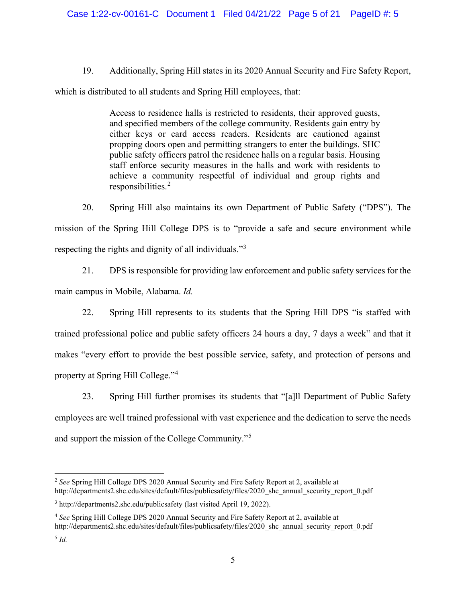19. Additionally, Spring Hill states in its 2020 Annual Security and Fire Safety Report,

which is distributed to all students and Spring Hill employees, that:

Access to residence halls is restricted to residents, their approved guests, and specified members of the college community. Residents gain entry by either keys or card access readers. Residents are cautioned against propping doors open and permitting strangers to enter the buildings. SHC public safety officers patrol the residence halls on a regular basis. Housing staff enforce security measures in the halls and work with residents to achieve a community respectful of individual and group rights and responsibilities.[2](#page-4-0)

20. Spring Hill also maintains its own Department of Public Safety ("DPS"). The mission of the Spring Hill College DPS is to "provide a safe and secure environment while respecting the rights and dignity of all individuals."[3](#page-4-1)

21. DPS is responsible for providing law enforcement and public safety services for the main campus in Mobile, Alabama. *Id.*

22. Spring Hill represents to its students that the Spring Hill DPS "is staffed with trained professional police and public safety officers 24 hours a day, 7 days a week" and that it makes "every effort to provide the best possible service, safety, and protection of persons and property at Spring Hill College."[4](#page-4-2)

23. Spring Hill further promises its students that "[a]ll Department of Public Safety employees are well trained professional with vast experience and the dedication to serve the needs and support the mission of the College Community."[5](#page-4-3)

<span id="page-4-0"></span><sup>2</sup> *See* Spring Hill College DPS 2020 Annual Security and Fire Safety Report at 2, available at http://departments2.shc.edu/sites/default/files/publicsafety/files/2020\_shc\_annual\_security\_report\_0.pdf

<span id="page-4-1"></span><sup>3</sup> http://departments2.shc.edu/publicsafety (last visited April 19, 2022).

<span id="page-4-2"></span><sup>4</sup> *See* Spring Hill College DPS 2020 Annual Security and Fire Safety Report at 2, available at http://departments2.shc.edu/sites/default/files/publicsafety/files/2020\_shc\_annual\_security\_report\_0.pdf

<span id="page-4-3"></span><sup>5</sup> *Id.*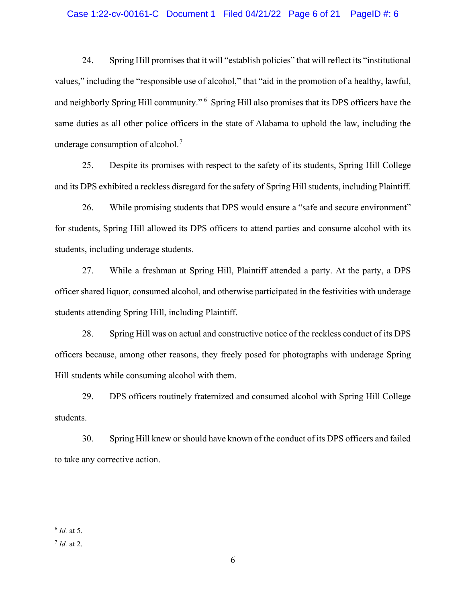### Case 1:22-cv-00161-C Document 1 Filed 04/21/22 Page 6 of 21 PageID #: 6

24. Spring Hill promises that it will "establish policies" that will reflect its "institutional values," including the "responsible use of alcohol," that "aid in the promotion of a healthy, lawful, and neighborly Spring Hill community." <sup>[6](#page-5-0)</sup> Spring Hill also promises that its DPS officers have the same duties as all other police officers in the state of Alabama to uphold the law, including the underage consumption of alcohol.<sup>[7](#page-5-1)</sup>

25. Despite its promises with respect to the safety of its students, Spring Hill College and its DPS exhibited a reckless disregard for the safety of Spring Hill students, including Plaintiff.

26. While promising students that DPS would ensure a "safe and secure environment" for students, Spring Hill allowed its DPS officers to attend parties and consume alcohol with its students, including underage students.

27. While a freshman at Spring Hill, Plaintiff attended a party. At the party, a DPS officer shared liquor, consumed alcohol, and otherwise participated in the festivities with underage students attending Spring Hill, including Plaintiff.

28. Spring Hill was on actual and constructive notice of the reckless conduct of its DPS officers because, among other reasons, they freely posed for photographs with underage Spring Hill students while consuming alcohol with them.

29. DPS officers routinely fraternized and consumed alcohol with Spring Hill College students.

30. Spring Hill knew or should have known of the conduct of its DPS officers and failed to take any corrective action.

<span id="page-5-0"></span><sup>6</sup> *Id.* at 5.

<span id="page-5-1"></span><sup>7</sup> *Id.* at 2.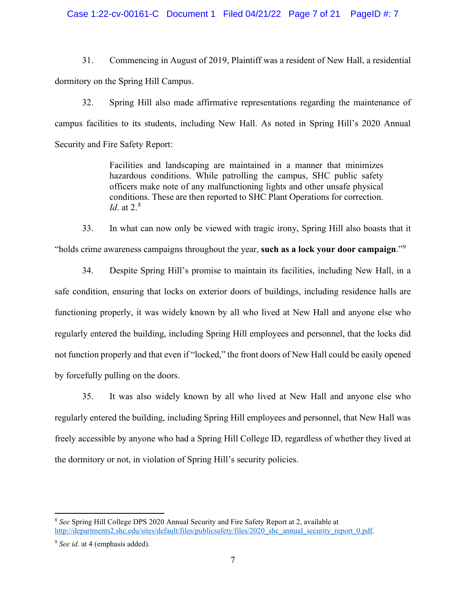### Case 1:22-cv-00161-C Document 1 Filed 04/21/22 Page 7 of 21 PageID #: 7

31. Commencing in August of 2019, Plaintiff was a resident of New Hall, a residential dormitory on the Spring Hill Campus.

32. Spring Hill also made affirmative representations regarding the maintenance of campus facilities to its students, including New Hall. As noted in Spring Hill's 2020 Annual Security and Fire Safety Report:

> Facilities and landscaping are maintained in a manner that minimizes hazardous conditions. While patrolling the campus, SHC public safety officers make note of any malfunctioning lights and other unsafe physical conditions. These are then reported to SHC Plant Operations for correction. *Id*. at 2. [8](#page-6-0)

33. In what can now only be viewed with tragic irony, Spring Hill also boasts that it "holds crime awareness campaigns throughout the year, **such as a lock your door campaign**."[9](#page-6-1)

34. Despite Spring Hill's promise to maintain its facilities, including New Hall, in a safe condition, ensuring that locks on exterior doors of buildings, including residence halls are functioning properly, it was widely known by all who lived at New Hall and anyone else who regularly entered the building, including Spring Hill employees and personnel, that the locks did not function properly and that even if "locked," the front doors of New Hall could be easily opened by forcefully pulling on the doors.

35. It was also widely known by all who lived at New Hall and anyone else who regularly entered the building, including Spring Hill employees and personnel, that New Hall was freely accessible by anyone who had a Spring Hill College ID, regardless of whether they lived at the dormitory or not, in violation of Spring Hill's security policies.

<span id="page-6-0"></span><sup>8</sup> *See* Spring Hill College DPS 2020 Annual Security and Fire Safety Report at 2, available at [http://departments2.shc.edu/sites/default/files/publicsafety/files/2020\\_shc\\_annual\\_security\\_report\\_0.pdf.](http://departments2.shc.edu/sites/default/files/publicsafety/files/2020_shc_annual_security_report_0.pdf)

<span id="page-6-1"></span><sup>&</sup>lt;sup>9</sup> *See id.* at 4 (emphasis added).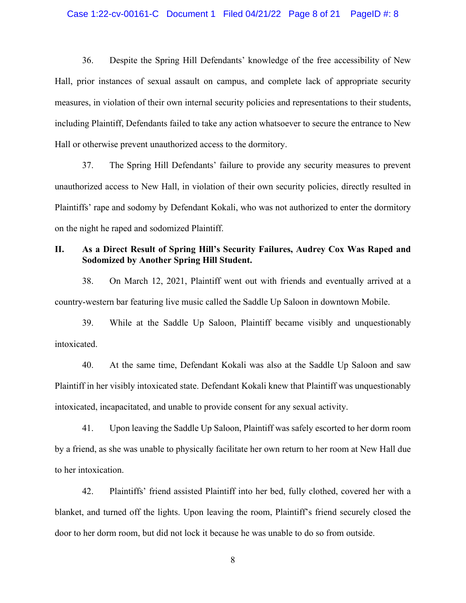#### Case 1:22-cv-00161-C Document 1 Filed 04/21/22 Page 8 of 21 PageID #: 8

36. Despite the Spring Hill Defendants' knowledge of the free accessibility of New Hall, prior instances of sexual assault on campus, and complete lack of appropriate security measures, in violation of their own internal security policies and representations to their students, including Plaintiff, Defendants failed to take any action whatsoever to secure the entrance to New Hall or otherwise prevent unauthorized access to the dormitory.

37. The Spring Hill Defendants' failure to provide any security measures to prevent unauthorized access to New Hall, in violation of their own security policies, directly resulted in Plaintiffs' rape and sodomy by Defendant Kokali, who was not authorized to enter the dormitory on the night he raped and sodomized Plaintiff.

## **II. As a Direct Result of Spring Hill's Security Failures, Audrey Cox Was Raped and Sodomized by Another Spring Hill Student.**

38. On March 12, 2021, Plaintiff went out with friends and eventually arrived at a country-western bar featuring live music called the Saddle Up Saloon in downtown Mobile.

39. While at the Saddle Up Saloon, Plaintiff became visibly and unquestionably intoxicated.

40. At the same time, Defendant Kokali was also at the Saddle Up Saloon and saw Plaintiff in her visibly intoxicated state. Defendant Kokali knew that Plaintiff was unquestionably intoxicated, incapacitated, and unable to provide consent for any sexual activity.

41. Upon leaving the Saddle Up Saloon, Plaintiff was safely escorted to her dorm room by a friend, as she was unable to physically facilitate her own return to her room at New Hall due to her intoxication.

42. Plaintiffs' friend assisted Plaintiff into her bed, fully clothed, covered her with a blanket, and turned off the lights. Upon leaving the room, Plaintiff's friend securely closed the door to her dorm room, but did not lock it because he was unable to do so from outside.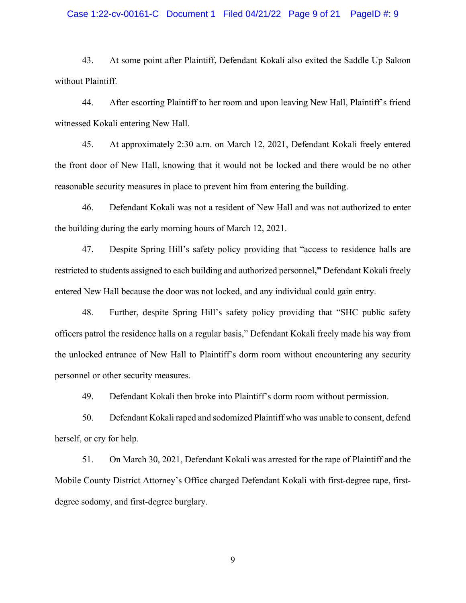### Case 1:22-cv-00161-C Document 1 Filed 04/21/22 Page 9 of 21 PageID #: 9

43. At some point after Plaintiff, Defendant Kokali also exited the Saddle Up Saloon without Plaintiff.

44. After escorting Plaintiff to her room and upon leaving New Hall, Plaintiff's friend witnessed Kokali entering New Hall.

45. At approximately 2:30 a.m. on March 12, 2021, Defendant Kokali freely entered the front door of New Hall, knowing that it would not be locked and there would be no other reasonable security measures in place to prevent him from entering the building.

46. Defendant Kokali was not a resident of New Hall and was not authorized to enter the building during the early morning hours of March 12, 2021.

47. Despite Spring Hill's safety policy providing that "access to residence halls are restricted to students assigned to each building and authorized personnel**,"** Defendant Kokali freely entered New Hall because the door was not locked, and any individual could gain entry.

48. Further, despite Spring Hill's safety policy providing that "SHC public safety officers patrol the residence halls on a regular basis," Defendant Kokali freely made his way from the unlocked entrance of New Hall to Plaintiff's dorm room without encountering any security personnel or other security measures.

49. Defendant Kokali then broke into Plaintiff's dorm room without permission.

50. Defendant Kokali raped and sodomized Plaintiff who was unable to consent, defend herself, or cry for help.

51. On March 30, 2021, Defendant Kokali was arrested for the rape of Plaintiff and the Mobile County District Attorney's Office charged Defendant Kokali with first-degree rape, firstdegree sodomy, and first-degree burglary.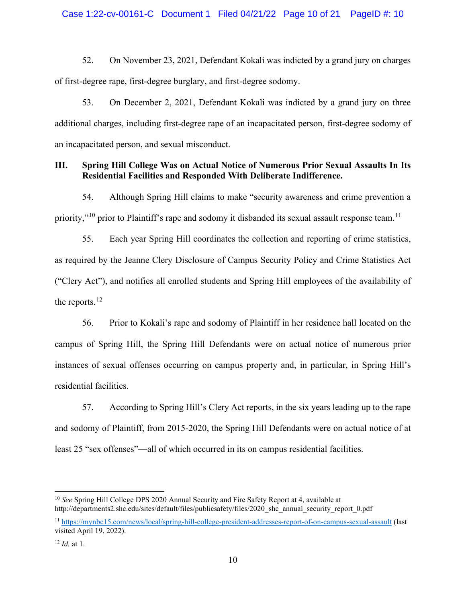52. On November 23, 2021, Defendant Kokali was indicted by a grand jury on charges of first-degree rape, first-degree burglary, and first-degree sodomy.

53. On December 2, 2021, Defendant Kokali was indicted by a grand jury on three additional charges, including first-degree rape of an incapacitated person, first-degree sodomy of an incapacitated person, and sexual misconduct.

# **III. Spring Hill College Was on Actual Notice of Numerous Prior Sexual Assaults In Its Residential Facilities and Responded With Deliberate Indifference.**

54. Although Spring Hill claims to make "security awareness and crime prevention a priority,"<sup>[10](#page-9-0)</sup> prior to Plaintiff's rape and sodomy it disbanded its sexual assault response team.<sup>[11](#page-9-1)</sup>

55. Each year Spring Hill coordinates the collection and reporting of crime statistics, as required by the Jeanne Clery Disclosure of Campus Security Policy and Crime Statistics Act ("Clery Act"), and notifies all enrolled students and Spring Hill employees of the availability of the reports.<sup>[12](#page-9-2)</sup>

56. Prior to Kokali's rape and sodomy of Plaintiff in her residence hall located on the campus of Spring Hill, the Spring Hill Defendants were on actual notice of numerous prior instances of sexual offenses occurring on campus property and, in particular, in Spring Hill's residential facilities.

57. According to Spring Hill's Clery Act reports, in the six years leading up to the rape and sodomy of Plaintiff, from 2015-2020, the Spring Hill Defendants were on actual notice of at least 25 "sex offenses"—all of which occurred in its on campus residential facilities.

<span id="page-9-0"></span><sup>10</sup> *See* Spring Hill College DPS 2020 Annual Security and Fire Safety Report at 4, available at http://departments2.shc.edu/sites/default/files/publicsafety/files/2020\_shc\_annual\_security\_report\_0.pdf

<span id="page-9-1"></span><sup>11</sup> <https://mynbc15.com/news/local/spring-hill-college-president-addresses-report-of-on-campus-sexual-assault> (last visited April 19, 2022).

<span id="page-9-2"></span><sup>12</sup> *Id.* at 1.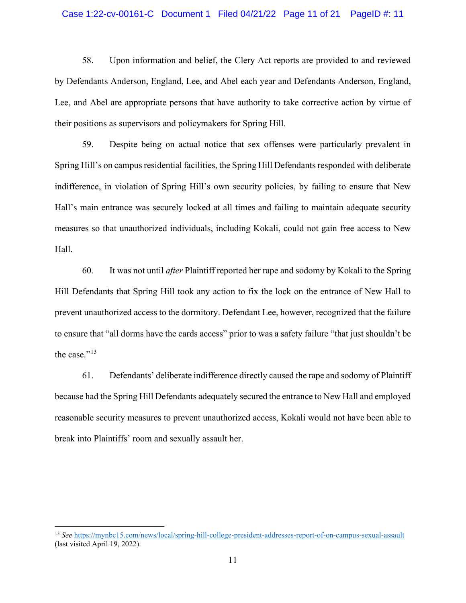#### Case 1:22-cv-00161-C Document 1 Filed 04/21/22 Page 11 of 21 PageID #: 11

58. Upon information and belief, the Clery Act reports are provided to and reviewed by Defendants Anderson, England, Lee, and Abel each year and Defendants Anderson, England, Lee, and Abel are appropriate persons that have authority to take corrective action by virtue of their positions as supervisors and policymakers for Spring Hill.

59. Despite being on actual notice that sex offenses were particularly prevalent in Spring Hill's on campus residential facilities, the Spring Hill Defendants responded with deliberate indifference, in violation of Spring Hill's own security policies, by failing to ensure that New Hall's main entrance was securely locked at all times and failing to maintain adequate security measures so that unauthorized individuals, including Kokali, could not gain free access to New Hall.

60. It was not until *after* Plaintiff reported her rape and sodomy by Kokali to the Spring Hill Defendants that Spring Hill took any action to fix the lock on the entrance of New Hall to prevent unauthorized access to the dormitory. Defendant Lee, however, recognized that the failure to ensure that "all dorms have the cards access" prior to was a safety failure "that just shouldn't be the case."<sup>[13](#page-10-0)</sup>

61. Defendants' deliberate indifference directly caused the rape and sodomy of Plaintiff because had the Spring Hill Defendants adequately secured the entrance to New Hall and employed reasonable security measures to prevent unauthorized access, Kokali would not have been able to break into Plaintiffs' room and sexually assault her.

<span id="page-10-0"></span><sup>13</sup> *See* <https://mynbc15.com/news/local/spring-hill-college-president-addresses-report-of-on-campus-sexual-assault> (last visited April 19, 2022).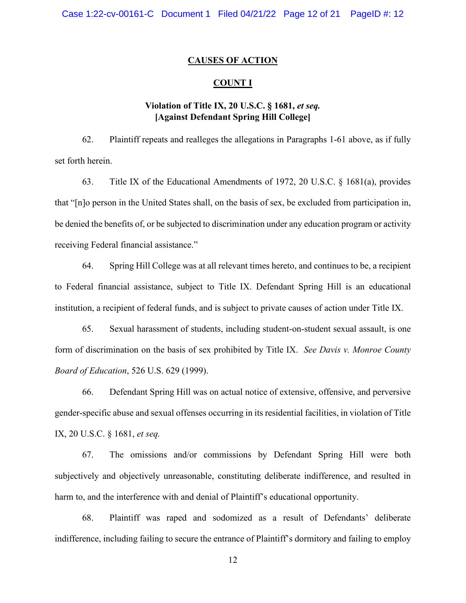## **CAUSES OF ACTION**

### **COUNT I**

# **Violation of Title IX, 20 U.S.C. § 1681,** *et seq.* **[Against Defendant Spring Hill College]**

62. Plaintiff repeats and realleges the allegations in Paragraphs 1-61 above, as if fully set forth herein.

63. Title IX of the Educational Amendments of 1972, 20 U.S.C. § 1681(a), provides that "[n]o person in the United States shall, on the basis of sex, be excluded from participation in, be denied the benefits of, or be subjected to discrimination under any education program or activity receiving Federal financial assistance."

64. Spring Hill College was at all relevant times hereto, and continues to be, a recipient to Federal financial assistance, subject to Title IX. Defendant Spring Hill is an educational institution, a recipient of federal funds, and is subject to private causes of action under Title IX.

65. Sexual harassment of students, including student-on-student sexual assault, is one form of discrimination on the basis of sex prohibited by Title IX. *See Davis v. Monroe County Board of Education*, 526 U.S. 629 (1999).

66. Defendant Spring Hill was on actual notice of extensive, offensive, and perversive gender-specific abuse and sexual offenses occurring in its residential facilities, in violation of Title IX, 20 U.S.C. § 1681, *et seq.*

67. The omissions and/or commissions by Defendant Spring Hill were both subjectively and objectively unreasonable, constituting deliberate indifference, and resulted in harm to, and the interference with and denial of Plaintiff's educational opportunity.

68. Plaintiff was raped and sodomized as a result of Defendants' deliberate indifference, including failing to secure the entrance of Plaintiff's dormitory and failing to employ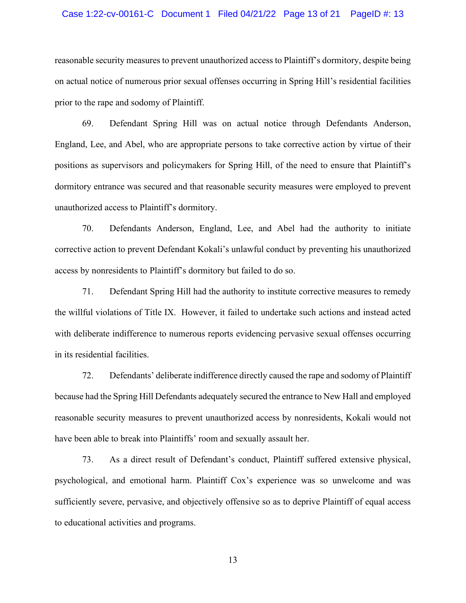#### Case 1:22-cv-00161-C Document 1 Filed 04/21/22 Page 13 of 21 PageID #: 13

reasonable security measures to prevent unauthorized access to Plaintiff's dormitory, despite being on actual notice of numerous prior sexual offenses occurring in Spring Hill's residential facilities prior to the rape and sodomy of Plaintiff.

69. Defendant Spring Hill was on actual notice through Defendants Anderson, England, Lee, and Abel, who are appropriate persons to take corrective action by virtue of their positions as supervisors and policymakers for Spring Hill, of the need to ensure that Plaintiff's dormitory entrance was secured and that reasonable security measures were employed to prevent unauthorized access to Plaintiff's dormitory.

70. Defendants Anderson, England, Lee, and Abel had the authority to initiate corrective action to prevent Defendant Kokali's unlawful conduct by preventing his unauthorized access by nonresidents to Plaintiff's dormitory but failed to do so.

71. Defendant Spring Hill had the authority to institute corrective measures to remedy the willful violations of Title IX. However, it failed to undertake such actions and instead acted with deliberate indifference to numerous reports evidencing pervasive sexual offenses occurring in its residential facilities.

72. Defendants' deliberate indifference directly caused the rape and sodomy of Plaintiff because had the Spring Hill Defendants adequately secured the entrance to New Hall and employed reasonable security measures to prevent unauthorized access by nonresidents, Kokali would not have been able to break into Plaintiffs' room and sexually assault her.

73. As a direct result of Defendant's conduct, Plaintiff suffered extensive physical, psychological, and emotional harm. Plaintiff Cox's experience was so unwelcome and was sufficiently severe, pervasive, and objectively offensive so as to deprive Plaintiff of equal access to educational activities and programs.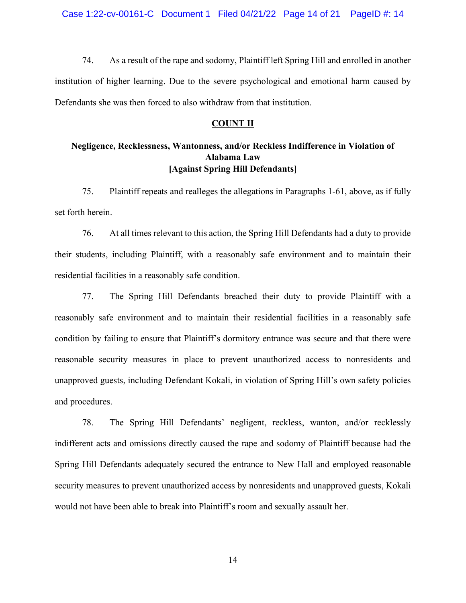74. As a result of the rape and sodomy, Plaintiff left Spring Hill and enrolled in another institution of higher learning. Due to the severe psychological and emotional harm caused by Defendants she was then forced to also withdraw from that institution.

### **COUNT II**

# **Negligence, Recklessness, Wantonness, and/or Reckless Indifference in Violation of Alabama Law [Against Spring Hill Defendants]**

75. Plaintiff repeats and realleges the allegations in Paragraphs 1-61, above, as if fully set forth herein.

76. At all times relevant to this action, the Spring Hill Defendants had a duty to provide their students, including Plaintiff, with a reasonably safe environment and to maintain their residential facilities in a reasonably safe condition.

77. The Spring Hill Defendants breached their duty to provide Plaintiff with a reasonably safe environment and to maintain their residential facilities in a reasonably safe condition by failing to ensure that Plaintiff's dormitory entrance was secure and that there were reasonable security measures in place to prevent unauthorized access to nonresidents and unapproved guests, including Defendant Kokali, in violation of Spring Hill's own safety policies and procedures.

78. The Spring Hill Defendants' negligent, reckless, wanton, and/or recklessly indifferent acts and omissions directly caused the rape and sodomy of Plaintiff because had the Spring Hill Defendants adequately secured the entrance to New Hall and employed reasonable security measures to prevent unauthorized access by nonresidents and unapproved guests, Kokali would not have been able to break into Plaintiff's room and sexually assault her.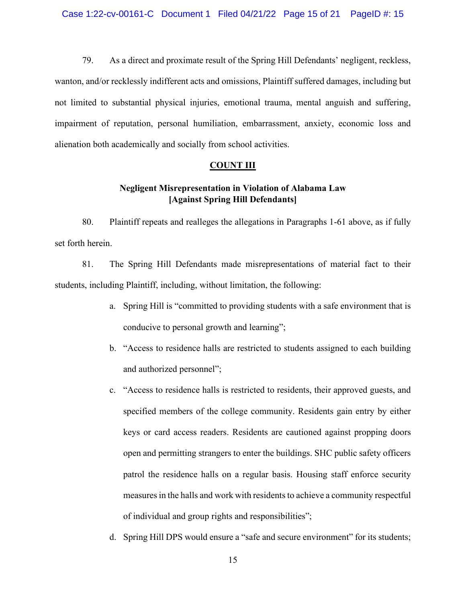79. As a direct and proximate result of the Spring Hill Defendants' negligent, reckless, wanton, and/or recklessly indifferent acts and omissions, Plaintiff suffered damages, including but not limited to substantial physical injuries, emotional trauma, mental anguish and suffering, impairment of reputation, personal humiliation, embarrassment, anxiety, economic loss and alienation both academically and socially from school activities.

## **COUNT III**

# **Negligent Misrepresentation in Violation of Alabama Law [Against Spring Hill Defendants]**

80. Plaintiff repeats and realleges the allegations in Paragraphs 1-61 above, as if fully set forth herein.

81. The Spring Hill Defendants made misrepresentations of material fact to their students, including Plaintiff, including, without limitation, the following:

- a. Spring Hill is "committed to providing students with a safe environment that is conducive to personal growth and learning";
- b. "Access to residence halls are restricted to students assigned to each building and authorized personnel";
- c. "Access to residence halls is restricted to residents, their approved guests, and specified members of the college community. Residents gain entry by either keys or card access readers. Residents are cautioned against propping doors open and permitting strangers to enter the buildings. SHC public safety officers patrol the residence halls on a regular basis. Housing staff enforce security measures in the halls and work with residents to achieve a community respectful of individual and group rights and responsibilities";
- d. Spring Hill DPS would ensure a "safe and secure environment" for its students;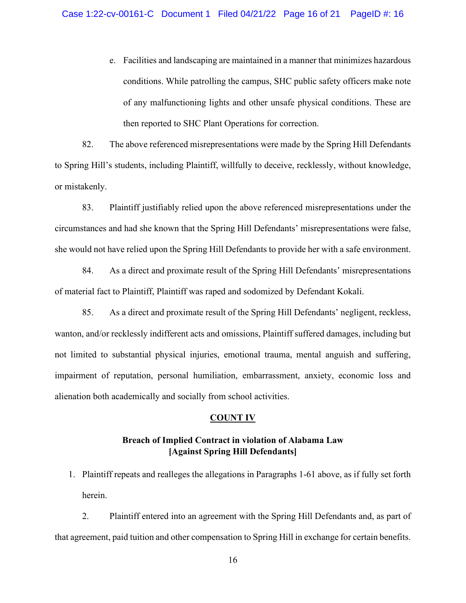e. Facilities and landscaping are maintained in a manner that minimizes hazardous conditions. While patrolling the campus, SHC public safety officers make note of any malfunctioning lights and other unsafe physical conditions. These are then reported to SHC Plant Operations for correction.

82. The above referenced misrepresentations were made by the Spring Hill Defendants to Spring Hill's students, including Plaintiff, willfully to deceive, recklessly, without knowledge, or mistakenly.

83. Plaintiff justifiably relied upon the above referenced misrepresentations under the circumstances and had she known that the Spring Hill Defendants' misrepresentations were false, she would not have relied upon the Spring Hill Defendants to provide her with a safe environment.

84. As a direct and proximate result of the Spring Hill Defendants' misrepresentations of material fact to Plaintiff, Plaintiff was raped and sodomized by Defendant Kokali.

85. As a direct and proximate result of the Spring Hill Defendants' negligent, reckless, wanton, and/or recklessly indifferent acts and omissions, Plaintiff suffered damages, including but not limited to substantial physical injuries, emotional trauma, mental anguish and suffering, impairment of reputation, personal humiliation, embarrassment, anxiety, economic loss and alienation both academically and socially from school activities.

## **COUNT IV**

# **Breach of Implied Contract in violation of Alabama Law [Against Spring Hill Defendants]**

1. Plaintiff repeats and realleges the allegations in Paragraphs 1-61 above, as if fully set forth herein.

2. Plaintiff entered into an agreement with the Spring Hill Defendants and, as part of that agreement, paid tuition and other compensation to Spring Hill in exchange for certain benefits.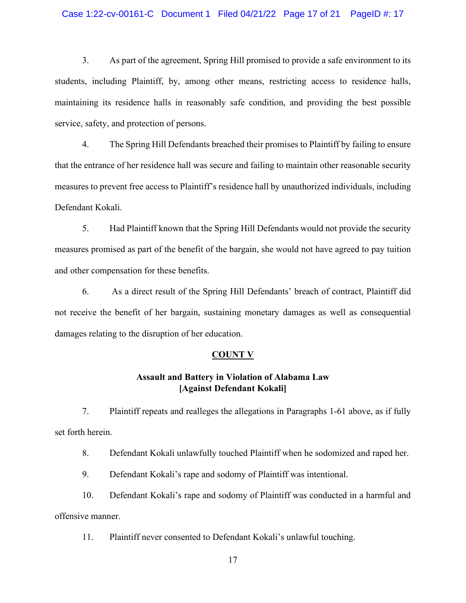#### Case 1:22-cv-00161-C Document 1 Filed 04/21/22 Page 17 of 21 PageID #: 17

3. As part of the agreement, Spring Hill promised to provide a safe environment to its students, including Plaintiff, by, among other means, restricting access to residence halls, maintaining its residence halls in reasonably safe condition, and providing the best possible service, safety, and protection of persons.

4. The Spring Hill Defendants breached their promises to Plaintiff by failing to ensure that the entrance of her residence hall was secure and failing to maintain other reasonable security measures to prevent free access to Plaintiff's residence hall by unauthorized individuals, including Defendant Kokali.

5. Had Plaintiff known that the Spring Hill Defendants would not provide the security measures promised as part of the benefit of the bargain, she would not have agreed to pay tuition and other compensation for these benefits.

6. As a direct result of the Spring Hill Defendants' breach of contract, Plaintiff did not receive the benefit of her bargain, sustaining monetary damages as well as consequential damages relating to the disruption of her education.

### **COUNT V**

# **Assault and Battery in Violation of Alabama Law [Against Defendant Kokali]**

7. Plaintiff repeats and realleges the allegations in Paragraphs 1-61 above, as if fully set forth herein.

8. Defendant Kokali unlawfully touched Plaintiff when he sodomized and raped her.

9. Defendant Kokali's rape and sodomy of Plaintiff was intentional.

10. Defendant Kokali's rape and sodomy of Plaintiff was conducted in a harmful and

offensive manner.

11. Plaintiff never consented to Defendant Kokali's unlawful touching.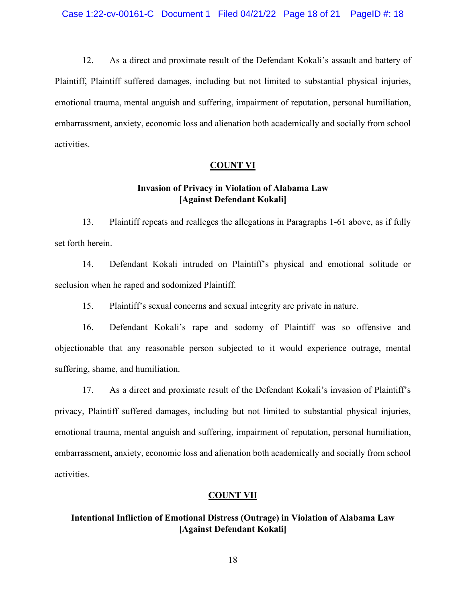12. As a direct and proximate result of the Defendant Kokali's assault and battery of Plaintiff, Plaintiff suffered damages, including but not limited to substantial physical injuries, emotional trauma, mental anguish and suffering, impairment of reputation, personal humiliation, embarrassment, anxiety, economic loss and alienation both academically and socially from school activities.

## **COUNT VI**

# **Invasion of Privacy in Violation of Alabama Law [Against Defendant Kokali]**

13. Plaintiff repeats and realleges the allegations in Paragraphs 1-61 above, as if fully set forth herein.

14. Defendant Kokali intruded on Plaintiff's physical and emotional solitude or seclusion when he raped and sodomized Plaintiff.

15. Plaintiff's sexual concerns and sexual integrity are private in nature.

16. Defendant Kokali's rape and sodomy of Plaintiff was so offensive and objectionable that any reasonable person subjected to it would experience outrage, mental suffering, shame, and humiliation.

17. As a direct and proximate result of the Defendant Kokali's invasion of Plaintiff's privacy, Plaintiff suffered damages, including but not limited to substantial physical injuries, emotional trauma, mental anguish and suffering, impairment of reputation, personal humiliation, embarrassment, anxiety, economic loss and alienation both academically and socially from school activities.

## **COUNT VII**

# **Intentional Infliction of Emotional Distress (Outrage) in Violation of Alabama Law [Against Defendant Kokali]**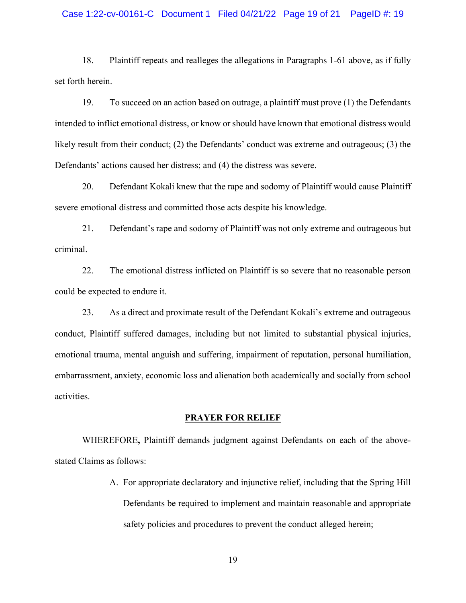#### Case 1:22-cv-00161-C Document 1 Filed 04/21/22 Page 19 of 21 PageID #: 19

18. Plaintiff repeats and realleges the allegations in Paragraphs 1-61 above, as if fully set forth herein.

19. To succeed on an action based on outrage, a plaintiff must prove (1) the Defendants intended to inflict emotional distress, or know or should have known that emotional distress would likely result from their conduct; (2) the Defendants' conduct was extreme and outrageous; (3) the Defendants' actions caused her distress; and (4) the distress was severe.

20. Defendant Kokali knew that the rape and sodomy of Plaintiff would cause Plaintiff severe emotional distress and committed those acts despite his knowledge.

21. Defendant's rape and sodomy of Plaintiff was not only extreme and outrageous but criminal.

22. The emotional distress inflicted on Plaintiff is so severe that no reasonable person could be expected to endure it.

23. As a direct and proximate result of the Defendant Kokali's extreme and outrageous conduct, Plaintiff suffered damages, including but not limited to substantial physical injuries, emotional trauma, mental anguish and suffering, impairment of reputation, personal humiliation, embarrassment, anxiety, economic loss and alienation both academically and socially from school activities.

#### **PRAYER FOR RELIEF**

WHEREFORE**,** Plaintiff demands judgment against Defendants on each of the abovestated Claims as follows:

> A. For appropriate declaratory and injunctive relief, including that the Spring Hill Defendants be required to implement and maintain reasonable and appropriate safety policies and procedures to prevent the conduct alleged herein;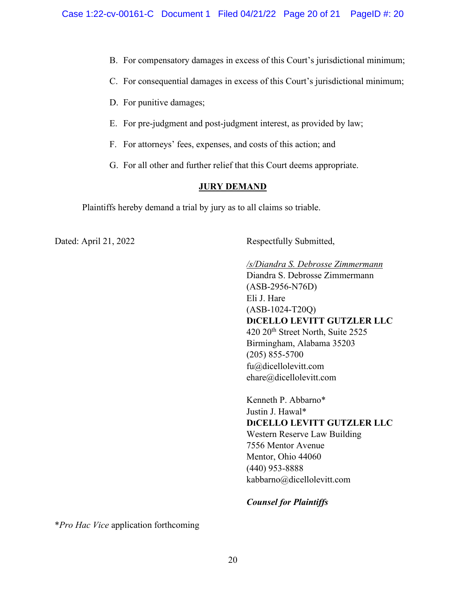- B. For compensatory damages in excess of this Court's jurisdictional minimum;
- C. For consequential damages in excess of this Court's jurisdictional minimum;
- D. For punitive damages;
- E. For pre-judgment and post-judgment interest, as provided by law;
- F. For attorneys' fees, expenses, and costs of this action; and
- G. For all other and further relief that this Court deems appropriate.

## **JURY DEMAND**

Plaintiffs hereby demand a trial by jury as to all claims so triable.

Dated: April 21, 2022 Respectfully Submitted,

*/s/Diandra S. Debrosse Zimmermann* Diandra S. Debrosse Zimmermann (ASB-2956-N76D) Eli J. Hare (ASB-1024-T20Q) **DICELLO LEVITT GUTZLER LLC** 420 20<sup>th</sup> Street North, Suite 2525 Birmingham, Alabama 35203 (205) 855-5700 fu@dicellolevitt.com [ehare@dicellolevitt.com](mailto:ehare@dicellolevitt.com)

Kenneth P. Abbarno\* Justin J. Hawal\* **DICELLO LEVITT GUTZLER LLC** Western Reserve Law Building 7556 Mentor Avenue Mentor, Ohio 44060 (440) 953-8888 kabbarno@dicellolevitt.com

## *Counsel for Plaintiffs*

\**Pro Hac Vice* application forthcoming